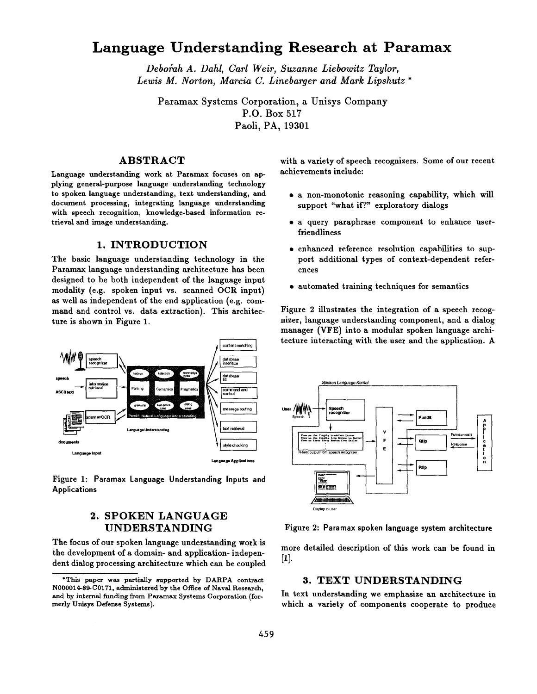# **Language Understanding Research at Paramax**

*Debo~h A. Dahl, Carl Weir, Suzanne Liebowitz Taylor, Lewis M. Norton, Marcia C. Linebarger and Mark Lipshutz \** 

Paramax Systems Corporation, a Unisys Company P.O. Box 517 Paoli, PA, 19301

## **ABSTRACT**

Language understanding work at Paramax focuses on applying general-purpose language understanding technology to spoken language understanding, text understanding, and document processing, integrating language understanding with speech recognition, knowledge-based information retrieval and image understanding.

### **1.** INTRODUCTION

The basic language understanding technology in the Paramax language understanding architecture has been designed to be both independent of the language input modality (e.g. spoken input vs. scanned OCR input) as well as independent of the end application (e.g. command and control vs. data extraction). This architecture is shown in Figure 1.



Figure 1: Paramax Language Understanding Inputs and **Applications** 

## **2. SPOKEN LANGUAGE UNDERSTANDING**

The focus of our spoken language understanding work is the development of a domain- and application- independent dialog processing architecture which can be coupled with a variety of speech recognizers. Some of our recent achievements include:

- a non-monotonic reasoning capability, which will support "what if?" exploratory dialogs
- a query paraphrase component to enhance userfriendliness
- enhanced reference resolution capabilities to support additional types of context-dependent references
- automated training techniques for semantics

Figure 2 illustrates the integration of a speech recognizer, language understanding component, and a dialog manager (VFE) into a modular spoken language architecture interacting with the user and the application. A



Figure 2: Paramax spoken language system architecture

more detailed description of this work can be found in [1].

## **3. TEXT UNDERSTANDING**

In text understanding we emphasize an architecture in which a variety of components cooperate to produce

<sup>\*</sup>This paper was partially supported by DARPA contract N000014-89-C0171, administered by the Office of Naval Research, and by internal funding from Paramax Systems Corporation (formerly Unisys Defense Systems).